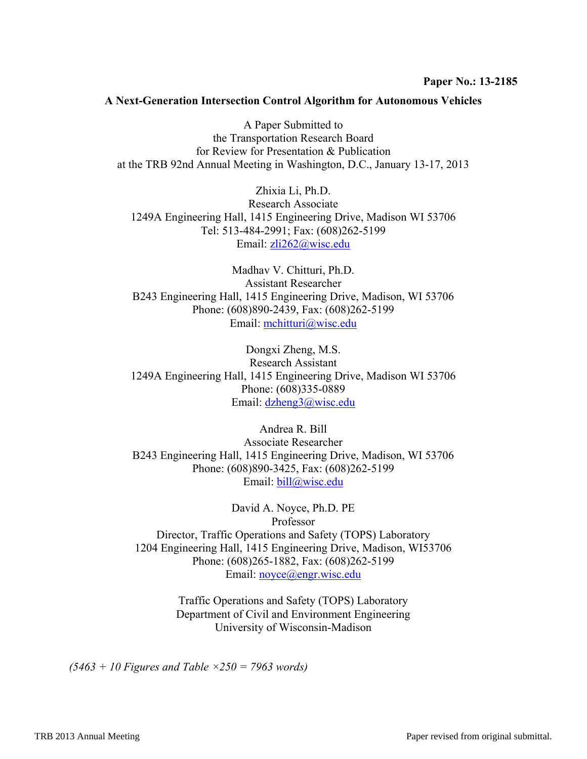#### **A Next-Generation Intersection Control Algorithm for Autonomous Vehicles**

A Paper Submitted to the Transportation Research Board for Review for Presentation & Publication at the TRB 92nd Annual Meeting in Washington, D.C., January 13-17, 2013

Zhixia Li, Ph.D. Research Associate 1249A Engineering Hall, 1415 Engineering Drive, Madison WI 53706 Tel: 513-484-2991; Fax: (608)262-5199 Email: zli262@wisc.edu

Madhav V. Chitturi, Ph.D. Assistant Researcher B243 Engineering Hall, 1415 Engineering Drive, Madison, WI 53706 Phone: (608)890-2439, Fax: (608)262-5199 Email: mchitturi@wisc.edu

Dongxi Zheng, M.S. Research Assistant 1249A Engineering Hall, 1415 Engineering Drive, Madison WI 53706 Phone: (608)335-0889 Email: dzheng3@wisc.edu

Andrea R. Bill Associate Researcher B243 Engineering Hall, 1415 Engineering Drive, Madison, WI 53706 Phone: (608)890-3425, Fax: (608)262-5199 Email: bill@wisc.edu

David A. Noyce, Ph.D. PE Professor Director, Traffic Operations and Safety (TOPS) Laboratory 1204 Engineering Hall, 1415 Engineering Drive, Madison, WI53706 Phone: (608)265-1882, Fax: (608)262-5199 Email: noyce@engr.wisc.edu

> Traffic Operations and Safety (TOPS) Laboratory Department of Civil and Environment Engineering University of Wisconsin-Madison

*(5463 + 10 Figures and Table ×250 = 7963 words)*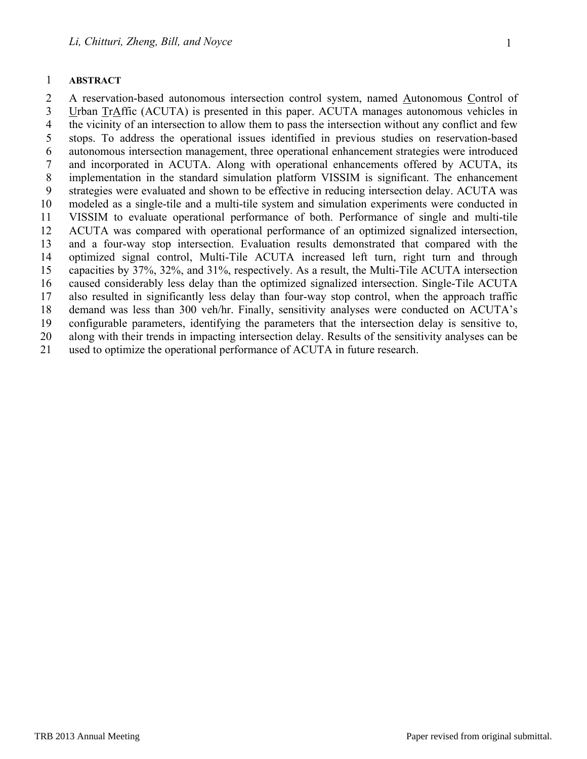2 A reservation-based autonomous intersection control system, named Autonomous Control of 3 Urban TrAffic (ACUTA) is presented in this paper. ACUTA manages autonomous vehicles in 4 the vicinity of an intersection to allow them to pass the intersection without any conflict and few 5 stops. To address the operational issues identified in previous studies on reservation-based 6 autonomous intersection management, three operational enhancement strategies were introduced 7 and incorporated in ACUTA. Along with operational enhancements offered by ACUTA, its 8 implementation in the standard simulation platform VISSIM is significant. The enhancement 9 strategies were evaluated and shown to be effective in reducing intersection delay. ACUTA was 10 modeled as a single-tile and a multi-tile system and simulation experiments were conducted in 11 VISSIM to evaluate operational performance of both. Performance of single and multi-tile 12 ACUTA was compared with operational performance of an optimized signalized intersection, 13 and a four-way stop intersection. Evaluation results demonstrated that compared with the 14 optimized signal control, Multi-Tile ACUTA increased left turn, right turn and through 15 capacities by 37%, 32%, and 31%, respectively. As a result, the Multi-Tile ACUTA intersection 16 caused considerably less delay than the optimized signalized intersection. Single-Tile ACUTA 17 also resulted in significantly less delay than four-way stop control, when the approach traffic 18 demand was less than 300 veh/hr. Finally, sensitivity analyses were conducted on ACUTA's 19 configurable parameters, identifying the parameters that the intersection delay is sensitive to, 20 along with their trends in impacting intersection delay. Results of the sensitivity analyses can be 21 used to optimize the operational performance of ACUTA in future research.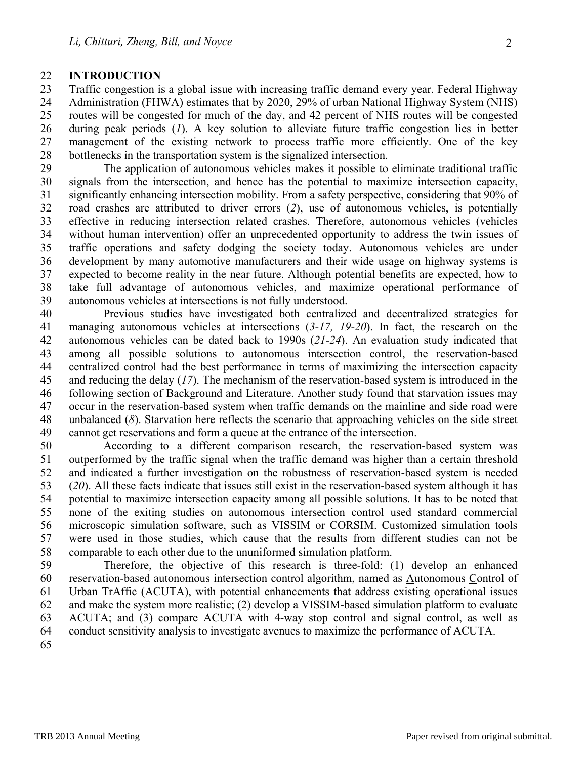#### 22 **INTRODUCTION**

23 Traffic congestion is a global issue with increasing traffic demand every year. Federal Highway 24 Administration (FHWA) estimates that by 2020, 29% of urban National Highway System (NHS) 25 routes will be congested for much of the day, and 42 percent of NHS routes will be congested 26 during peak periods (*1*). A key solution to alleviate future traffic congestion lies in better 27 management of the existing network to process traffic more efficiently. One of the key 28 bottlenecks in the transportation system is the signalized intersection.

29 The application of autonomous vehicles makes it possible to eliminate traditional traffic 30 signals from the intersection, and hence has the potential to maximize intersection capacity, 31 significantly enhancing intersection mobility. From a safety perspective, considering that 90% of 32 road crashes are attributed to driver errors (*2*), use of autonomous vehicles, is potentially 33 effective in reducing intersection related crashes. Therefore, autonomous vehicles (vehicles 34 without human intervention) offer an unprecedented opportunity to address the twin issues of 35 traffic operations and safety dodging the society today. Autonomous vehicles are under 36 development by many automotive manufacturers and their wide usage on highway systems is 37 expected to become reality in the near future. Although potential benefits are expected, how to 38 take full advantage of autonomous vehicles, and maximize operational performance of 39 autonomous vehicles at intersections is not fully understood.

40 Previous studies have investigated both centralized and decentralized strategies for 41 managing autonomous vehicles at intersections (*3-17, 19-20*). In fact, the research on the 42 autonomous vehicles can be dated back to 1990s (*21-24*). An evaluation study indicated that 43 among all possible solutions to autonomous intersection control, the reservation-based 44 centralized control had the best performance in terms of maximizing the intersection capacity 45 and reducing the delay (*17*). The mechanism of the reservation-based system is introduced in the 46 following section of Background and Literature. Another study found that starvation issues may 47 occur in the reservation-based system when traffic demands on the mainline and side road were 48 unbalanced (*8*). Starvation here reflects the scenario that approaching vehicles on the side street 49 cannot get reservations and form a queue at the entrance of the intersection.

50 According to a different comparison research, the reservation-based system was 51 outperformed by the traffic signal when the traffic demand was higher than a certain threshold 52 and indicated a further investigation on the robustness of reservation-based system is needed 53 (*20*). All these facts indicate that issues still exist in the reservation-based system although it has 54 potential to maximize intersection capacity among all possible solutions. It has to be noted that 55 none of the exiting studies on autonomous intersection control used standard commercial 56 microscopic simulation software, such as VISSIM or CORSIM. Customized simulation tools 57 were used in those studies, which cause that the results from different studies can not be 58 comparable to each other due to the ununiformed simulation platform.

59 Therefore, the objective of this research is three-fold: (1) develop an enhanced 60 reservation-based autonomous intersection control algorithm, named as Autonomous Control of 61 Urban TrAffic (ACUTA), with potential enhancements that address existing operational issues 62 and make the system more realistic; (2) develop a VISSIM-based simulation platform to evaluate 63 ACUTA; and (3) compare ACUTA with 4-way stop control and signal control, as well as 64 conduct sensitivity analysis to investigate avenues to maximize the performance of ACUTA.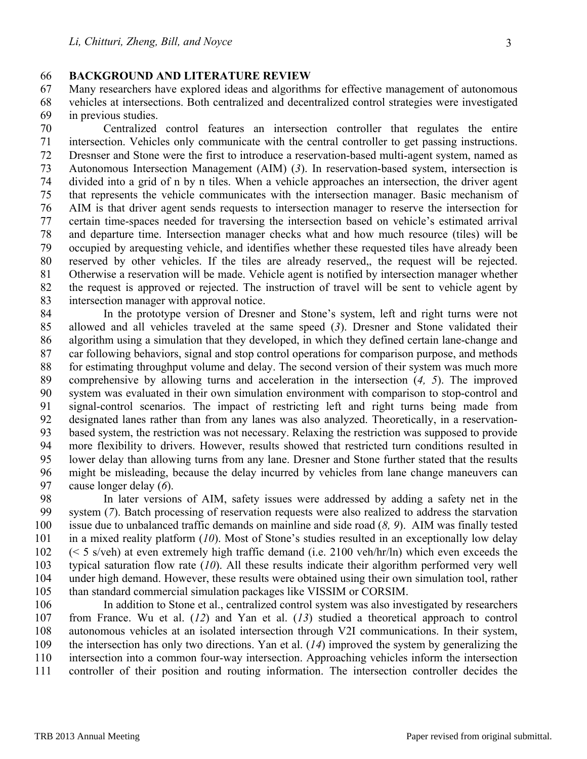### 66 **BACKGROUND AND LITERATURE REVIEW**

67 Many researchers have explored ideas and algorithms for effective management of autonomous 68 vehicles at intersections. Both centralized and decentralized control strategies were investigated 69 in previous studies.

70 Centralized control features an intersection controller that regulates the entire 71 intersection. Vehicles only communicate with the central controller to get passing instructions. 72 Dresnser and Stone were the first to introduce a reservation-based multi-agent system, named as 73 Autonomous Intersection Management (AIM) (*3*). In reservation-based system, intersection is 74 divided into a grid of n by n tiles. When a vehicle approaches an intersection, the driver agent 75 that represents the vehicle communicates with the intersection manager. Basic mechanism of 76 AIM is that driver agent sends requests to intersection manager to reserve the intersection for 77 certain time-spaces needed for traversing the intersection based on vehicle's estimated arrival 78 and departure time. Intersection manager checks what and how much resource (tiles) will be 79 occupied by arequesting vehicle, and identifies whether these requested tiles have already been 80 reserved by other vehicles. If the tiles are already reserved,, the request will be rejected. 81 Otherwise a reservation will be made. Vehicle agent is notified by intersection manager whether 82 the request is approved or rejected. The instruction of travel will be sent to vehicle agent by 83 intersection manager with approval notice.

84 In the prototype version of Dresner and Stone's system, left and right turns were not 85 allowed and all vehicles traveled at the same speed (*3*). Dresner and Stone validated their 86 algorithm using a simulation that they developed, in which they defined certain lane-change and 87 car following behaviors, signal and stop control operations for comparison purpose, and methods 88 for estimating throughput volume and delay. The second version of their system was much more 89 comprehensive by allowing turns and acceleration in the intersection (*4, 5*). The improved 90 system was evaluated in their own simulation environment with comparison to stop-control and 91 signal-control scenarios. The impact of restricting left and right turns being made from 92 designated lanes rather than from any lanes was also analyzed. Theoretically, in a reservation-93 based system, the restriction was not necessary. Relaxing the restriction was supposed to provide 94 more flexibility to drivers. However, results showed that restricted turn conditions resulted in 95 lower delay than allowing turns from any lane. Dresner and Stone further stated that the results 96 might be misleading, because the delay incurred by vehicles from lane change maneuvers can 97 cause longer delay (*6*).

98 In later versions of AIM, safety issues were addressed by adding a safety net in the 99 system (*7*). Batch processing of reservation requests were also realized to address the starvation 100 issue due to unbalanced traffic demands on mainline and side road (*8, 9*). AIM was finally tested 101 in a mixed reality platform (*10*). Most of Stone's studies resulted in an exceptionally low delay 102 (< 5 s/veh) at even extremely high traffic demand (i.e. 2100 veh/hr/ln) which even exceeds the 103 typical saturation flow rate (*10*). All these results indicate their algorithm performed very well 104 under high demand. However, these results were obtained using their own simulation tool, rather 105 than standard commercial simulation packages like VISSIM or CORSIM.

106 In addition to Stone et al., centralized control system was also investigated by researchers 107 from France. Wu et al. (*12*) and Yan et al. (*13*) studied a theoretical approach to control 108 autonomous vehicles at an isolated intersection through V2I communications. In their system, 109 the intersection has only two directions. Yan et al. (*14*) improved the system by generalizing the 110 intersection into a common four-way intersection. Approaching vehicles inform the intersection 111 controller of their position and routing information. The intersection controller decides the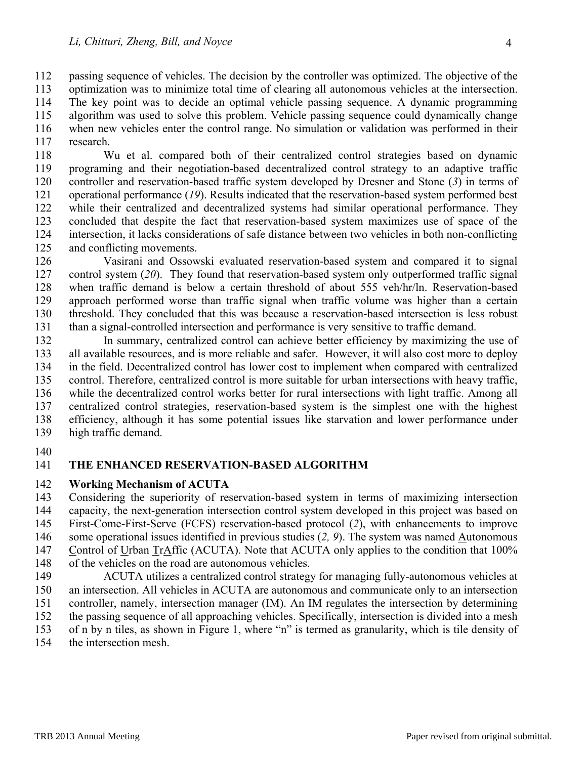112 passing sequence of vehicles. The decision by the controller was optimized. The objective of the

- 113 optimization was to minimize total time of clearing all autonomous vehicles at the intersection. 114 The key point was to decide an optimal vehicle passing sequence. A dynamic programming 115 algorithm was used to solve this problem. Vehicle passing sequence could dynamically change 116 when new vehicles enter the control range. No simulation or validation was performed in their 117 research.
- 118 Wu et al. compared both of their centralized control strategies based on dynamic 119 programing and their negotiation-based decentralized control strategy to an adaptive traffic 120 controller and reservation-based traffic system developed by Dresner and Stone (*3*) in terms of 121 operational performance (*19*). Results indicated that the reservation-based system performed best 122 while their centralized and decentralized systems had similar operational performance. They 123 concluded that despite the fact that reservation-based system maximizes use of space of the 124 intersection, it lacks considerations of safe distance between two vehicles in both non-conflicting 125 and conflicting movements.
- 126 Vasirani and Ossowski evaluated reservation-based system and compared it to signal 127 control system (*20*). They found that reservation-based system only outperformed traffic signal 128 when traffic demand is below a certain threshold of about 555 veh/hr/ln. Reservation-based 129 approach performed worse than traffic signal when traffic volume was higher than a certain 130 threshold. They concluded that this was because a reservation-based intersection is less robust 131 than a signal-controlled intersection and performance is very sensitive to traffic demand.
- 132 In summary, centralized control can achieve better efficiency by maximizing the use of 133 all available resources, and is more reliable and safer. However, it will also cost more to deploy 134 in the field. Decentralized control has lower cost to implement when compared with centralized 135 control. Therefore, centralized control is more suitable for urban intersections with heavy traffic, 136 while the decentralized control works better for rural intersections with light traffic. Among all 137 centralized control strategies, reservation-based system is the simplest one with the highest 138 efficiency, although it has some potential issues like starvation and lower performance under 139 high traffic demand.
- 140

# 141 **THE ENHANCED RESERVATION-BASED ALGORITHM**

#### 142 **Working Mechanism of ACUTA**

143 Considering the superiority of reservation-based system in terms of maximizing intersection 144 capacity, the next-generation intersection control system developed in this project was based on

- 145 First-Come-First-Serve (FCFS) reservation-based protocol (*2*), with enhancements to improve
- 146 some operational issues identified in previous studies (*2, 9*). The system was named Autonomous
- 147 Control of Urban TrAffic (ACUTA). Note that ACUTA only applies to the condition that 100%
- 148 of the vehicles on the road are autonomous vehicles.
- 149 ACUTA utilizes a centralized control strategy for managing fully-autonomous vehicles at 150 an intersection. All vehicles in ACUTA are autonomous and communicate only to an intersection 151 controller, namely, intersection manager (IM). An IM regulates the intersection by determining 152 the passing sequence of all approaching vehicles. Specifically, intersection is divided into a mesh 153 of n by n tiles, as shown in Figure 1, where "n" is termed as granularity, which is tile density of
- 154 the intersection mesh.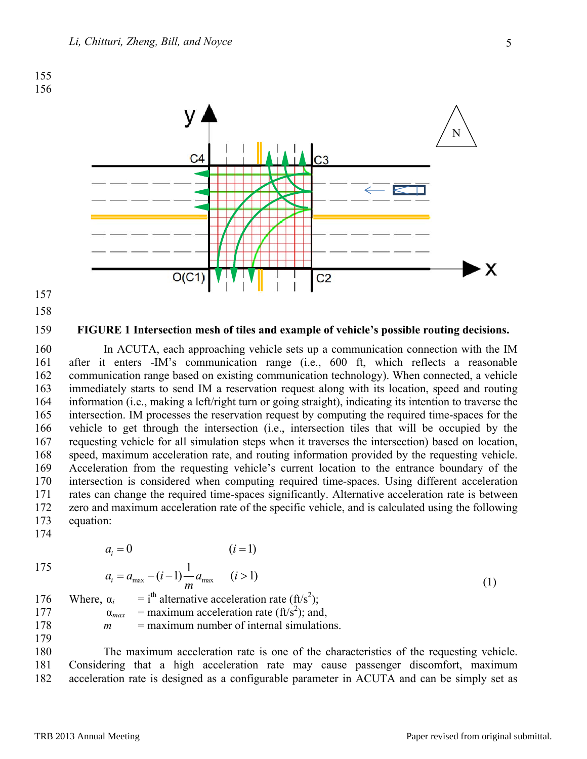

- 157
- 158

#### 159 **FIGURE 1 Intersection mesh of tiles and example of vehicle's possible routing decisions.**

160 In ACUTA, each approaching vehicle sets up a communication connection with the IM 161 after it enters -IM's communication range (i.e., 600 ft, which reflects a reasonable 162 communication range based on existing communication technology). When connected, a vehicle 163 immediately starts to send IM a reservation request along with its location, speed and routing 164 information (i.e., making a left/right turn or going straight), indicating its intention to traverse the 165 intersection. IM processes the reservation request by computing the required time-spaces for the 166 vehicle to get through the intersection (i.e., intersection tiles that will be occupied by the 167 requesting vehicle for all simulation steps when it traverses the intersection) based on location, 168 speed, maximum acceleration rate, and routing information provided by the requesting vehicle. 169 Acceleration from the requesting vehicle's current location to the entrance boundary of the 170 intersection is considered when computing required time-spaces. Using different acceleration 171 rates can change the required time-spaces significantly. Alternative acceleration rate is between 172 zero and maximum acceleration rate of the specific vehicle, and is calculated using the following 173 equation:

$$
\overline{175}
$$

174

 $= 0$   $(i = 1)$  $a_i = 0$  (*i* 

$$
175
$$

$$
a_i = a_{\text{max}} - (i - 1) \frac{1}{m} a_{\text{max}} \qquad (i > 1)
$$
  
\n
$$
\alpha_i = i^{\text{th}} \text{ alternative acceleration rate (ft/s2)} \qquad (1)
$$

176 Where,  $\alpha_i$ 177  $\alpha_{max}$  = maximum acceleration rate (ft/s<sup>2</sup>); and, 178 *m* = maximum number of internal simulations.

179

180 The maximum acceleration rate is one of the characteristics of the requesting vehicle. 181 Considering that a high acceleration rate may cause passenger discomfort, maximum 182 acceleration rate is designed as a configurable parameter in ACUTA and can be simply set as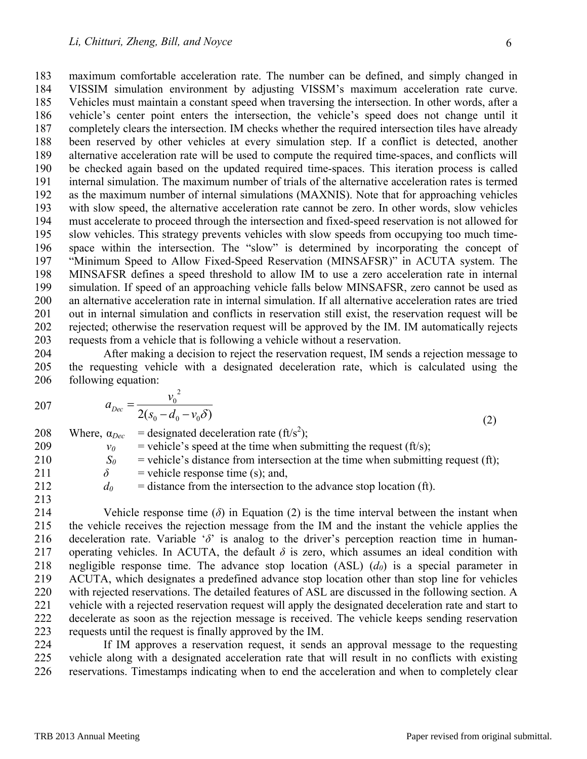183 maximum comfortable acceleration rate. The number can be defined, and simply changed in 184 VISSIM simulation environment by adjusting VISSM's maximum acceleration rate curve. 185 Vehicles must maintain a constant speed when traversing the intersection. In other words, after a 186 vehicle's center point enters the intersection, the vehicle's speed does not change until it 187 completely clears the intersection. IM checks whether the required intersection tiles have already 188 been reserved by other vehicles at every simulation step. If a conflict is detected, another 189 alternative acceleration rate will be used to compute the required time-spaces, and conflicts will 190 be checked again based on the updated required time-spaces. This iteration process is called 191 internal simulation. The maximum number of trials of the alternative acceleration rates is termed 192 as the maximum number of internal simulations (MAXNIS). Note that for approaching vehicles 193 with slow speed, the alternative acceleration rate cannot be zero. In other words, slow vehicles 194 must accelerate to proceed through the intersection and fixed-speed reservation is not allowed for 195 slow vehicles. This strategy prevents vehicles with slow speeds from occupying too much time-196 space within the intersection. The "slow" is determined by incorporating the concept of 197 "Minimum Speed to Allow Fixed-Speed Reservation (MINSAFSR)" in ACUTA system. The 198 MINSAFSR defines a speed threshold to allow IM to use a zero acceleration rate in internal 199 simulation. If speed of an approaching vehicle falls below MINSAFSR, zero cannot be used as 200 an alternative acceleration rate in internal simulation. If all alternative acceleration rates are tried 201 out in internal simulation and conflicts in reservation still exist, the reservation request will be 202 rejected; otherwise the reservation request will be approved by the IM. IM automatically rejects 203 requests from a vehicle that is following a vehicle without a reservation.

204 After making a decision to reject the reservation request, IM sends a rejection message to 205 the requesting vehicle with a designated deceleration rate, which is calculated using the 206 following equation:

$$
207 \t a_{Dec} = \frac{1}{2}
$$

 $D_{\text{ec}}$  -  $\frac{1}{2(s_0 - d_0 - v_0 \delta)}$  $= \frac{v_0}{2(s_0 - d_0 - v_0 \delta)}$  (2)

2 0

*v*

208 Where,  $\alpha_{Dec}$  = designated deceleration rate (ft/s<sup>2</sup>);  $v_0$  = vehicle's speed at the time when submitting the request (ft/s);  $S_0$  = vehicle's distance from intersection at the time when submitting request (ft);  $\delta$  = vehicle response time (s); and,  $d_0$  = distance from the intersection to the advance stop location (ft). 213

214 Vehicle response time ( $\delta$ ) in Equation (2) is the time interval between the instant when 215 the vehicle receives the rejection message from the IM and the instant the vehicle applies the 216 deceleration rate. Variable '*δ*' is analog to the driver's perception reaction time in human-217 operating vehicles. In ACUTA, the default  $\delta$  is zero, which assumes an ideal condition with 218 negligible response time. The advance stop location  $(ASL)$   $(d_0)$  is a special parameter in 219 ACUTA, which designates a predefined advance stop location other than stop line for vehicles 220 with rejected reservations. The detailed features of ASL are discussed in the following section. A 221 vehicle with a rejected reservation request will apply the designated deceleration rate and start to 222 decelerate as soon as the rejection message is received. The vehicle keeps sending reservation 223 requests until the request is finally approved by the IM.

224 If IM approves a reservation request, it sends an approval message to the requesting 225 vehicle along with a designated acceleration rate that will result in no conflicts with existing 226 reservations. Timestamps indicating when to end the acceleration and when to completely clear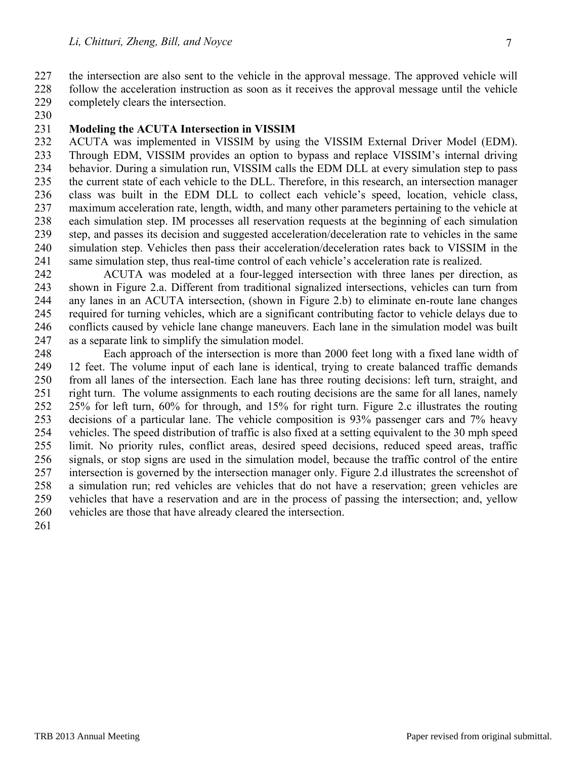227 the intersection are also sent to the vehicle in the approval message. The approved vehicle will 228 follow the acceleration instruction as soon as it receives the approval message until the vehicle

- 229 completely clears the intersection.
- 230

#### 231 **Modeling the ACUTA Intersection in VISSIM**

232 ACUTA was implemented in VISSIM by using the VISSIM External Driver Model (EDM). 233 Through EDM, VISSIM provides an option to bypass and replace VISSIM's internal driving 234 behavior. During a simulation run, VISSIM calls the EDM DLL at every simulation step to pass 235 the current state of each vehicle to the DLL. Therefore, in this research, an intersection manager 236 class was built in the EDM DLL to collect each vehicle's speed, location, vehicle class, 237 maximum acceleration rate, length, width, and many other parameters pertaining to the vehicle at 238 each simulation step. IM processes all reservation requests at the beginning of each simulation 239 step, and passes its decision and suggested acceleration/deceleration rate to vehicles in the same 240 simulation step. Vehicles then pass their acceleration/deceleration rates back to VISSIM in the 241 same simulation step, thus real-time control of each vehicle's acceleration rate is realized.

242 ACUTA was modeled at a four-legged intersection with three lanes per direction, as 243 shown in Figure 2.a. Different from traditional signalized intersections, vehicles can turn from 244 any lanes in an ACUTA intersection, (shown in Figure 2.b) to eliminate en-route lane changes 245 required for turning vehicles, which are a significant contributing factor to vehicle delays due to 246 conflicts caused by vehicle lane change maneuvers. Each lane in the simulation model was built 247 as a separate link to simplify the simulation model.

248 Each approach of the intersection is more than 2000 feet long with a fixed lane width of 249 12 feet. The volume input of each lane is identical, trying to create balanced traffic demands 250 from all lanes of the intersection. Each lane has three routing decisions: left turn, straight, and 251 right turn. The volume assignments to each routing decisions are the same for all lanes, namely 252 25% for left turn, 60% for through, and 15% for right turn. Figure 2.c illustrates the routing 253 decisions of a particular lane. The vehicle composition is 93% passenger cars and 7% heavy 254 vehicles. The speed distribution of traffic is also fixed at a setting equivalent to the 30 mph speed 255 limit. No priority rules, conflict areas, desired speed decisions, reduced speed areas, traffic 256 signals, or stop signs are used in the simulation model, because the traffic control of the entire 257 intersection is governed by the intersection manager only. Figure 2.d illustrates the screenshot of 258 a simulation run; red vehicles are vehicles that do not have a reservation; green vehicles are 259 vehicles that have a reservation and are in the process of passing the intersection; and, yellow 260 vehicles are those that have already cleared the intersection.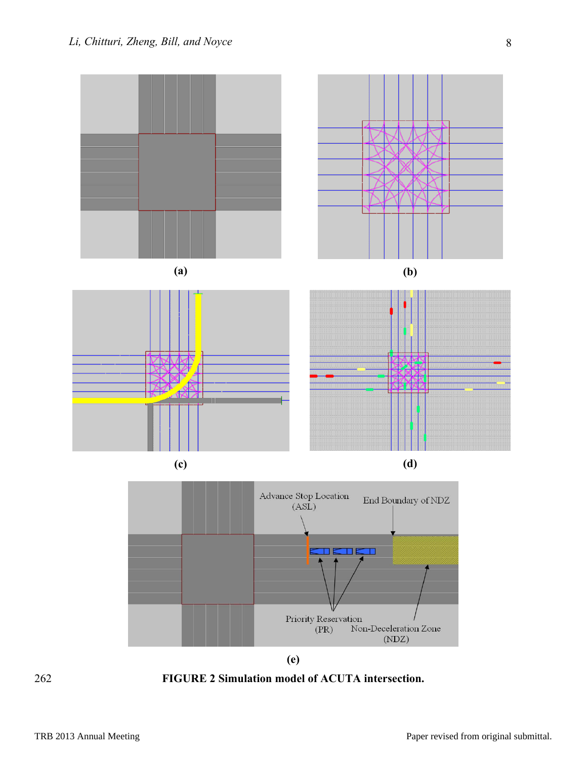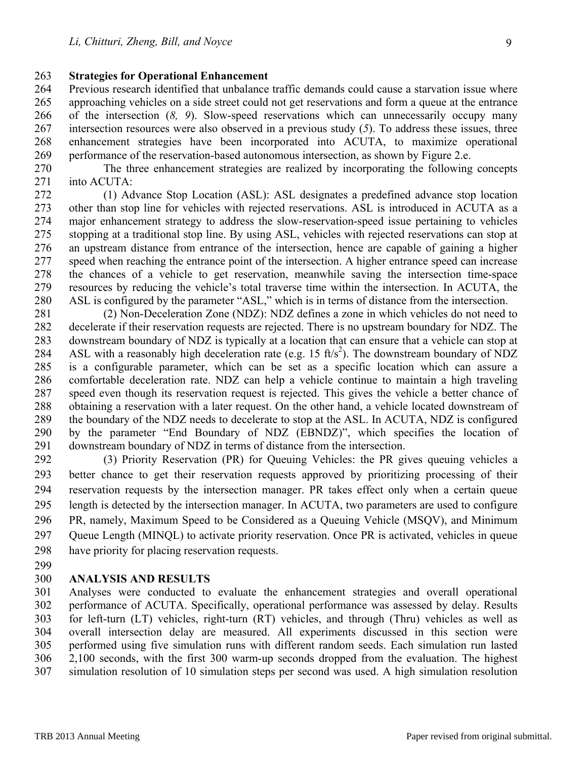#### 263 **Strategies for Operational Enhancement**

264 Previous research identified that unbalance traffic demands could cause a starvation issue where 265 approaching vehicles on a side street could not get reservations and form a queue at the entrance 266 of the intersection (*8, 9*). Slow-speed reservations which can unnecessarily occupy many 267 intersection resources were also observed in a previous study (*5*). To address these issues, three 268 enhancement strategies have been incorporated into ACUTA, to maximize operational 269 performance of the reservation-based autonomous intersection, as shown by Figure 2.e.

270 The three enhancement strategies are realized by incorporating the following concepts 271 into ACUTA:

272 (1) Advance Stop Location (ASL): ASL designates a predefined advance stop location 273 other than stop line for vehicles with rejected reservations. ASL is introduced in ACUTA as a 274 major enhancement strategy to address the slow-reservation-speed issue pertaining to vehicles 275 stopping at a traditional stop line. By using ASL, vehicles with rejected reservations can stop at 276 an upstream distance from entrance of the intersection, hence are capable of gaining a higher 277 speed when reaching the entrance point of the intersection. A higher entrance speed can increase 278 the chances of a vehicle to get reservation, meanwhile saving the intersection time-space 279 resources by reducing the vehicle's total traverse time within the intersection. In ACUTA, the 280 ASL is configured by the parameter "ASL," which is in terms of distance from the intersection.

- 281 (2) Non-Deceleration Zone (NDZ): NDZ defines a zone in which vehicles do not need to 282 decelerate if their reservation requests are rejected. There is no upstream boundary for NDZ. The 283 downstream boundary of NDZ is typically at a location that can ensure that a vehicle can stop at 284 ASL with a reasonably high deceleration rate (e.g. 15 ft/s<sup>2</sup>). The downstream boundary of NDZ 285 is a configurable parameter, which can be set as a specific location which can assure a 286 comfortable deceleration rate. NDZ can help a vehicle continue to maintain a high traveling 287 speed even though its reservation request is rejected. This gives the vehicle a better chance of 288 obtaining a reservation with a later request. On the other hand, a vehicle located downstream of 289 the boundary of the NDZ needs to decelerate to stop at the ASL. In ACUTA, NDZ is configured 290 by the parameter "End Boundary of NDZ (EBNDZ)", which specifies the location of 291 downstream boundary of NDZ in terms of distance from the intersection.
- 292 (3) Priority Reservation (PR) for Queuing Vehicles: the PR gives queuing vehicles a 293 better chance to get their reservation requests approved by prioritizing processing of their 294 reservation requests by the intersection manager. PR takes effect only when a certain queue 295 length is detected by the intersection manager. In ACUTA, two parameters are used to configure 296 PR, namely, Maximum Speed to be Considered as a Queuing Vehicle (MSQV), and Minimum 297 Queue Length (MINQL) to activate priority reservation. Once PR is activated, vehicles in queue 298 have priority for placing reservation requests.
- 299

## 300 **ANALYSIS AND RESULTS**

301 Analyses were conducted to evaluate the enhancement strategies and overall operational 302 performance of ACUTA. Specifically, operational performance was assessed by delay. Results 303 for left-turn (LT) vehicles, right-turn (RT) vehicles, and through (Thru) vehicles as well as 304 overall intersection delay are measured. All experiments discussed in this section were 305 performed using five simulation runs with different random seeds. Each simulation run lasted 306 2,100 seconds, with the first 300 warm-up seconds dropped from the evaluation. The highest 307 simulation resolution of 10 simulation steps per second was used. A high simulation resolution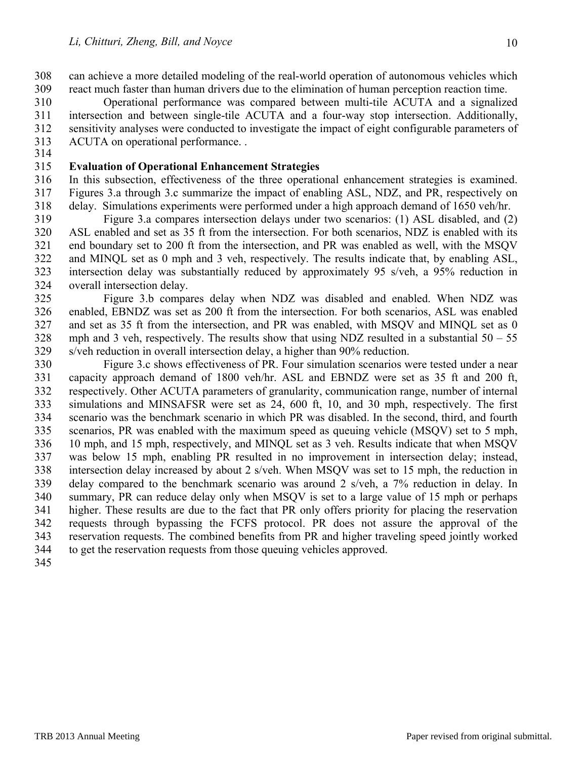308 can achieve a more detailed modeling of the real-world operation of autonomous vehicles which 309 react much faster than human drivers due to the elimination of human perception reaction time.

310 Operational performance was compared between multi-tile ACUTA and a signalized 311 intersection and between single-tile ACUTA and a four-way stop intersection. Additionally, 312 sensitivity analyses were conducted to investigate the impact of eight configurable parameters of 313 ACUTA on operational performance. . 314

### 315 **Evaluation of Operational Enhancement Strategies**

316 In this subsection, effectiveness of the three operational enhancement strategies is examined. 317 Figures 3.a through 3.c summarize the impact of enabling ASL, NDZ, and PR, respectively on 318 delay. Simulations experiments were performed under a high approach demand of 1650 veh/hr.

319 Figure 3.a compares intersection delays under two scenarios: (1) ASL disabled, and (2) 320 ASL enabled and set as 35 ft from the intersection. For both scenarios, NDZ is enabled with its 321 end boundary set to 200 ft from the intersection, and PR was enabled as well, with the MSQV 322 and MINQL set as 0 mph and 3 veh, respectively. The results indicate that, by enabling ASL, 323 intersection delay was substantially reduced by approximately 95 s/veh, a 95% reduction in 324 overall intersection delay.

325 Figure 3.b compares delay when NDZ was disabled and enabled. When NDZ was 326 enabled, EBNDZ was set as 200 ft from the intersection. For both scenarios, ASL was enabled 327 and set as 35 ft from the intersection, and PR was enabled, with MSQV and MINQL set as 0  $328$  mph and 3 veh, respectively. The results show that using NDZ resulted in a substantial  $50 - 55$ 329 s/veh reduction in overall intersection delay, a higher than 90% reduction.

330 Figure 3.c shows effectiveness of PR. Four simulation scenarios were tested under a near 331 capacity approach demand of 1800 veh/hr. ASL and EBNDZ were set as 35 ft and 200 ft, 332 respectively. Other ACUTA parameters of granularity, communication range, number of internal 333 simulations and MINSAFSR were set as 24, 600 ft, 10, and 30 mph, respectively. The first 334 scenario was the benchmark scenario in which PR was disabled. In the second, third, and fourth 335 scenarios, PR was enabled with the maximum speed as queuing vehicle (MSQV) set to 5 mph, 336 10 mph, and 15 mph, respectively, and MINQL set as 3 veh. Results indicate that when MSQV 337 was below 15 mph, enabling PR resulted in no improvement in intersection delay; instead, 338 intersection delay increased by about 2 s/veh. When MSQV was set to 15 mph, the reduction in 339 delay compared to the benchmark scenario was around 2 s/veh, a 7% reduction in delay. In 340 summary, PR can reduce delay only when MSQV is set to a large value of 15 mph or perhaps 341 higher. These results are due to the fact that PR only offers priority for placing the reservation 342 requests through bypassing the FCFS protocol. PR does not assure the approval of the 343 reservation requests. The combined benefits from PR and higher traveling speed jointly worked 344 to get the reservation requests from those queuing vehicles approved.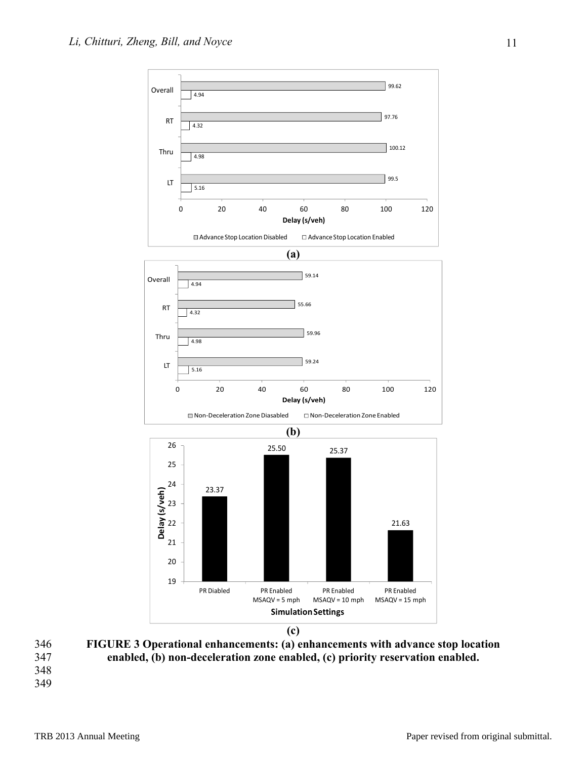

346 **FIGURE 3 Operational enhancements: (a) enhancements with advance stop location** 

- 347 **enabled, (b) non-deceleration zone enabled, (c) priority reservation enabled.**
- 348
- 349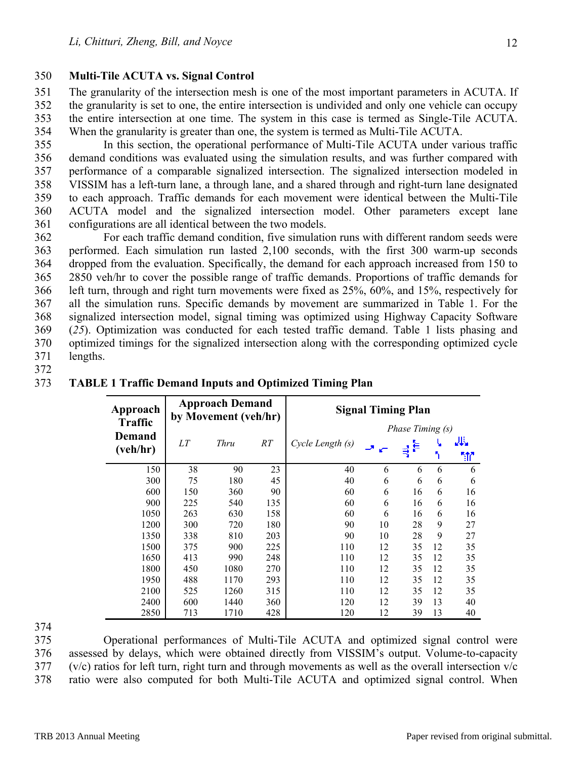## 350 **Multi-Tile ACUTA vs. Signal Control**

351 The granularity of the intersection mesh is one of the most important parameters in ACUTA. If 352 the granularity is set to one, the entire intersection is undivided and only one vehicle can occupy 353 the entire intersection at one time. The system in this case is termed as Single-Tile ACUTA. 354 When the granularity is greater than one, the system is termed as Multi-Tile ACUTA.

355 In this section, the operational performance of Multi-Tile ACUTA under various traffic 356 demand conditions was evaluated using the simulation results, and was further compared with 357 performance of a comparable signalized intersection. The signalized intersection modeled in 358 VISSIM has a left-turn lane, a through lane, and a shared through and right-turn lane designated 359 to each approach. Traffic demands for each movement were identical between the Multi-Tile 360 ACUTA model and the signalized intersection model. Other parameters except lane 361 configurations are all identical between the two models.

362 For each traffic demand condition, five simulation runs with different random seeds were 363 performed. Each simulation run lasted 2,100 seconds, with the first 300 warm-up seconds 364 dropped from the evaluation. Specifically, the demand for each approach increased from 150 to 365 2850 veh/hr to cover the possible range of traffic demands. Proportions of traffic demands for 366 left turn, through and right turn movements were fixed as 25%, 60%, and 15%, respectively for 367 all the simulation runs. Specific demands by movement are summarized in Table 1. For the 368 signalized intersection model, signal timing was optimized using Highway Capacity Software 369 (*25*). Optimization was conducted for each tested traffic demand. Table 1 lists phasing and 370 optimized timings for the signalized intersection along with the corresponding optimized cycle 371 lengths.

372

| Approach           |     | <b>Approach Demand</b><br>by Movement (veh/hr) |     | <b>Signal Timing Plan</b> |       |    |    |               |  |  |  |  |
|--------------------|-----|------------------------------------------------|-----|---------------------------|-------|----|----|---------------|--|--|--|--|
| <b>Traffic</b>     |     |                                                |     | <i>Phase Timing (s)</i>   |       |    |    |               |  |  |  |  |
| Demand<br>(veh/hr) | LΤ  | Thru                                           | RT  | Cycle Length (s)          | سی اف | ₹  | Ч  | مأله با<br>ħ۳ |  |  |  |  |
| 150                | 38  | 90                                             | 23  | 40                        | 6     | 6  | 6  | 6             |  |  |  |  |
| 300                | 75  | 180                                            | 45  | 40                        | 6     | 6  | 6  | 6             |  |  |  |  |
| 600                | 150 | 360                                            | 90  | 60                        | 6     | 16 | 6  | 16            |  |  |  |  |
| 900                | 225 | 540                                            | 135 | 60                        | 6     | 16 | 6  | 16            |  |  |  |  |
| 1050               | 263 | 630                                            | 158 | 60                        | 6     | 16 | 6  | 16            |  |  |  |  |
| 1200               | 300 | 720                                            | 180 | 90                        | 10    | 28 | 9  | 27            |  |  |  |  |
| 1350               | 338 | 810                                            | 203 | 90                        | 10    | 28 | 9  | 27            |  |  |  |  |
| 1500               | 375 | 900                                            | 225 | 110                       | 12    | 35 | 12 | 35            |  |  |  |  |
| 1650               | 413 | 990                                            | 248 | 110                       | 12    | 35 | 12 | 35            |  |  |  |  |
| 1800               | 450 | 1080                                           | 270 | 110                       | 12    | 35 | 12 | 35            |  |  |  |  |
| 1950               | 488 | 1170                                           | 293 | 110                       | 12    | 35 | 12 | 35            |  |  |  |  |
| 2100               | 525 | 1260                                           | 315 | 110                       | 12    | 35 | 12 | 35            |  |  |  |  |
| 2400               | 600 | 1440                                           | 360 | 120                       | 12    | 39 | 13 | 40            |  |  |  |  |
| 2850               | 713 | 1710                                           | 428 | 120                       | 12    | 39 | 13 | 40            |  |  |  |  |

## 373 **TABLE 1 Traffic Demand Inputs and Optimized Timing Plan**

374

375 Operational performances of Multi-Tile ACUTA and optimized signal control were 376 assessed by delays, which were obtained directly from VISSIM's output. Volume-to-capacity  $377$  (v/c) ratios for left turn, right turn and through movements as well as the overall intersection v/c 378 ratio were also computed for both Multi-Tile ACUTA and optimized signal control. When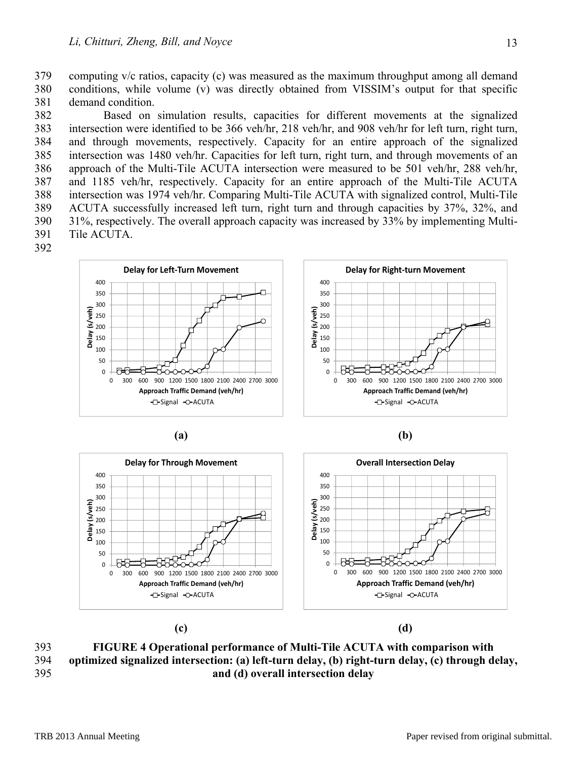379 computing v/c ratios, capacity (c) was measured as the maximum throughput among all demand 380 conditions, while volume (v) was directly obtained from VISSIM's output for that specific 381 demand condition.

382 Based on simulation results, capacities for different movements at the signalized 383 intersection were identified to be 366 veh/hr, 218 veh/hr, and 908 veh/hr for left turn, right turn, 384 and through movements, respectively. Capacity for an entire approach of the signalized 385 intersection was 1480 veh/hr. Capacities for left turn, right turn, and through movements of an 386 approach of the Multi-Tile ACUTA intersection were measured to be 501 veh/hr, 288 veh/hr, 387 and 1185 veh/hr, respectively. Capacity for an entire approach of the Multi-Tile ACUTA 388 intersection was 1974 veh/hr. Comparing Multi-Tile ACUTA with signalized control, Multi-Tile 389 ACUTA successfully increased left turn, right turn and through capacities by 37%, 32%, and 390 31%, respectively. The overall approach capacity was increased by 33% by implementing Multi-391 Tile ACUTA.







**(c) (d)** 

393 **FIGURE 4 Operational performance of Multi-Tile ACUTA with comparison with**  394 **optimized signalized intersection: (a) left-turn delay, (b) right-turn delay, (c) through delay,**  395 **and (d) overall intersection delay**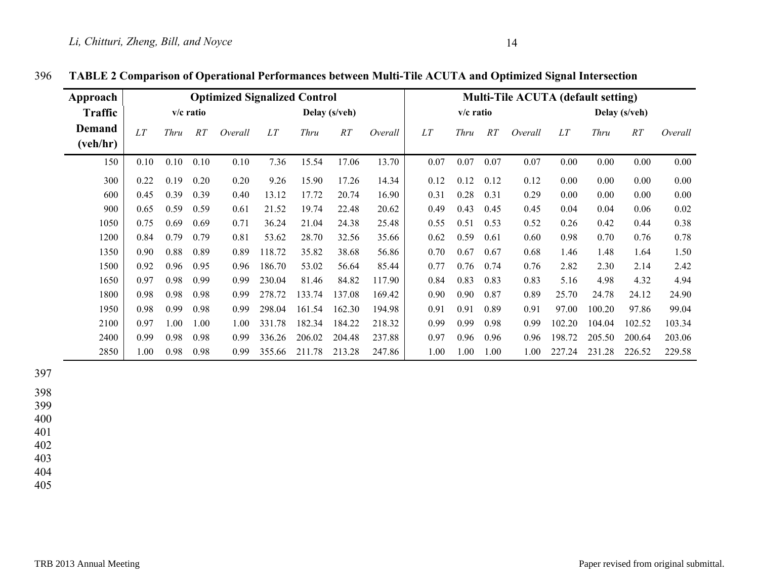| Approach       | <b>Optimized Signalized Control</b> |      |      |               |        | <b>Multi-Tile ACUTA (default setting)</b> |             |         |      |      |      |               |        |             |        |         |
|----------------|-------------------------------------|------|------|---------------|--------|-------------------------------------------|-------------|---------|------|------|------|---------------|--------|-------------|--------|---------|
| <b>Traffic</b> | $v/c$ ratio                         |      |      | Delay (s/veh) |        |                                           | $v/c$ ratio |         |      |      |      | Delay (s/veh) |        |             |        |         |
| Demand         | LT                                  | Thru | RT   | Overall       | LT     | <b>Thru</b>                               | RT          | Overall | LT   | Thru | RT   | Overall       | LT     | <b>Thru</b> | RT     | Overall |
| (veh/hr)       |                                     |      |      |               |        |                                           |             |         |      |      |      |               |        |             |        |         |
| 150            | 0.10                                | 0.10 | 0.10 | 0.10          | 7.36   | 15.54                                     | 17.06       | 13.70   | 0.07 | 0.07 | 0.07 | 0.07          | 0.00   | 0.00        | 0.00   | 0.00    |
| 300            | 0.22                                | 0.19 | 0.20 | 0.20          | 9.26   | 15.90                                     | 17.26       | 14.34   | 0.12 | 0.12 | 0.12 | 0.12          | 0.00   | 0.00        | 0.00   | 0.00    |
| 600            | 0.45                                | 0.39 | 0.39 | 0.40          | 13.12  | 17.72                                     | 20.74       | 16.90   | 0.31 | 0.28 | 0.31 | 0.29          | 0.00   | 0.00        | 0.00   | 0.00    |
| 900            | 0.65                                | 0.59 | 0.59 | 0.61          | 21.52  | 19.74                                     | 22.48       | 20.62   | 0.49 | 0.43 | 0.45 | 0.45          | 0.04   | 0.04        | 0.06   | 0.02    |
| 1050           | 0.75                                | 0.69 | 0.69 | 0.71          | 36.24  | 21.04                                     | 24.38       | 25.48   | 0.55 | 0.51 | 0.53 | 0.52          | 0.26   | 0.42        | 0.44   | 0.38    |
| 1200           | 0.84                                | 0.79 | 0.79 | 0.81          | 53.62  | 28.70                                     | 32.56       | 35.66   | 0.62 | 0.59 | 0.61 | 0.60          | 0.98   | 0.70        | 0.76   | 0.78    |
| 1350           | 0.90                                | 0.88 | 0.89 | 0.89          | 118.72 | 35.82                                     | 38.68       | 56.86   | 0.70 | 0.67 | 0.67 | 0.68          | 1.46   | 1.48        | 1.64   | 1.50    |
| 1500           | 0.92                                | 0.96 | 0.95 | 0.96          | 186.70 | 53.02                                     | 56.64       | 85.44   | 0.77 | 0.76 | 0.74 | 0.76          | 2.82   | 2.30        | 2.14   | 2.42    |
| 1650           | 0.97                                | 0.98 | 0.99 | 0.99          | 230.04 | 81.46                                     | 84.82       | 117.90  | 0.84 | 0.83 | 0.83 | 0.83          | 5.16   | 4.98        | 4.32   | 4.94    |
| 1800           | 0.98                                | 0.98 | 0.98 | 0.99          | 278.72 | 133.74                                    | 137.08      | 169.42  | 0.90 | 0.90 | 0.87 | 0.89          | 25.70  | 24.78       | 24.12  | 24.90   |
| 1950           | 0.98                                | 0.99 | 0.98 | 0.99          | 298.04 | 161.54                                    | 162.30      | 194.98  | 0.91 | 0.91 | 0.89 | 0.91          | 97.00  | 100.20      | 97.86  | 99.04   |
| 2100           | 0.97                                | 1.00 | 1.00 | 1.00          | 331.78 | 182.34                                    | 184.22      | 218.32  | 0.99 | 0.99 | 0.98 | 0.99          | 102.20 | 104.04      | 102.52 | 103.34  |
| 2400           | 0.99                                | 0.98 | 0.98 | 0.99          | 336.26 | 206.02                                    | 204.48      | 237.88  | 0.97 | 0.96 | 0.96 | 0.96          | 198.72 | 205.50      | 200.64 | 203.06  |
| 2850           | 1.00                                | 0.98 | 0.98 | 0.99          | 355.66 | 211.78                                    | 213.28      | 247.86  | 1.00 | 1.00 | 1.00 | $1.00\,$      | 227.24 | 231.28      | 226.52 | 229.58  |

## 396 **TABLE 2 Comparison of Operational Performances between Multi-Tile ACUTA and Optimized Signal Intersection**

397

398

399

400

401

402

403

404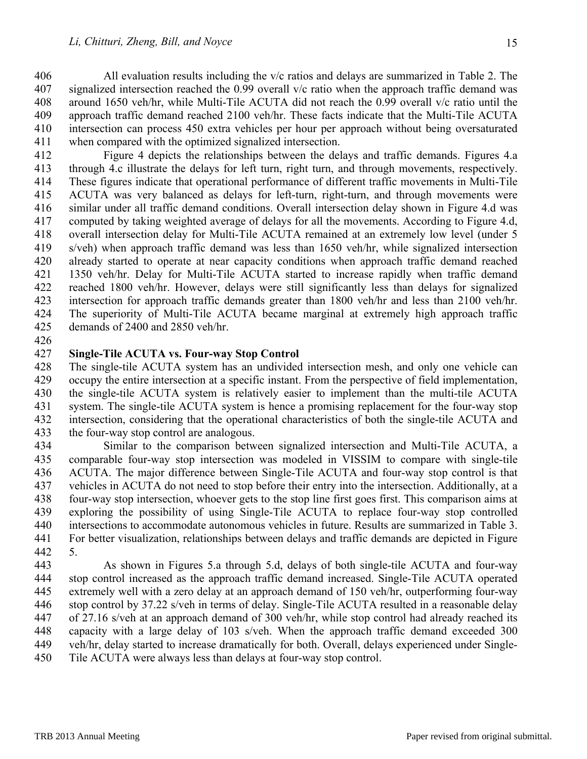406 All evaluation results including the v/c ratios and delays are summarized in Table 2. The 407 signalized intersection reached the 0.99 overall v/c ratio when the approach traffic demand was 408 around 1650 veh/hr, while Multi-Tile ACUTA did not reach the 0.99 overall v/c ratio until the 409 approach traffic demand reached 2100 veh/hr. These facts indicate that the Multi-Tile ACUTA 410 intersection can process 450 extra vehicles per hour per approach without being oversaturated 411 when compared with the optimized signalized intersection.

412 Figure 4 depicts the relationships between the delays and traffic demands. Figures 4.a 413 through 4.c illustrate the delays for left turn, right turn, and through movements, respectively. 414 These figures indicate that operational performance of different traffic movements in Multi-Tile 415 ACUTA was very balanced as delays for left-turn, right-turn, and through movements were 416 similar under all traffic demand conditions. Overall intersection delay shown in Figure 4.d was 417 computed by taking weighted average of delays for all the movements. According to Figure 4.d, 418 overall intersection delay for Multi-Tile ACUTA remained at an extremely low level (under 5 419 s/veh) when approach traffic demand was less than 1650 veh/hr, while signalized intersection 420 already started to operate at near capacity conditions when approach traffic demand reached 421 1350 veh/hr. Delay for Multi-Tile ACUTA started to increase rapidly when traffic demand 422 reached 1800 veh/hr. However, delays were still significantly less than delays for signalized 423 intersection for approach traffic demands greater than 1800 veh/hr and less than 2100 veh/hr. 424 The superiority of Multi-Tile ACUTA became marginal at extremely high approach traffic 425 demands of 2400 and 2850 veh/hr.

426

## 427 **Single-Tile ACUTA vs. Four-way Stop Control**

428 The single-tile ACUTA system has an undivided intersection mesh, and only one vehicle can 429 occupy the entire intersection at a specific instant. From the perspective of field implementation, 430 the single-tile ACUTA system is relatively easier to implement than the multi-tile ACUTA 431 system. The single-tile ACUTA system is hence a promising replacement for the four-way stop 432 intersection, considering that the operational characteristics of both the single-tile ACUTA and 433 the four-way stop control are analogous.

434 Similar to the comparison between signalized intersection and Multi-Tile ACUTA, a 435 comparable four-way stop intersection was modeled in VISSIM to compare with single-tile 436 ACUTA. The major difference between Single-Tile ACUTA and four-way stop control is that 437 vehicles in ACUTA do not need to stop before their entry into the intersection. Additionally, at a 438 four-way stop intersection, whoever gets to the stop line first goes first. This comparison aims at 439 exploring the possibility of using Single-Tile ACUTA to replace four-way stop controlled 440 intersections to accommodate autonomous vehicles in future. Results are summarized in Table 3. 441 For better visualization, relationships between delays and traffic demands are depicted in Figure 442 5.

443 As shown in Figures 5.a through 5.d, delays of both single-tile ACUTA and four-way 444 stop control increased as the approach traffic demand increased. Single-Tile ACUTA operated 445 extremely well with a zero delay at an approach demand of 150 veh/hr, outperforming four-way 446 stop control by 37.22 s/veh in terms of delay. Single-Tile ACUTA resulted in a reasonable delay 447 of 27.16 s/veh at an approach demand of 300 veh/hr, while stop control had already reached its 448 capacity with a large delay of 103 s/veh. When the approach traffic demand exceeded 300 449 veh/hr, delay started to increase dramatically for both. Overall, delays experienced under Single-450 Tile ACUTA were always less than delays at four-way stop control.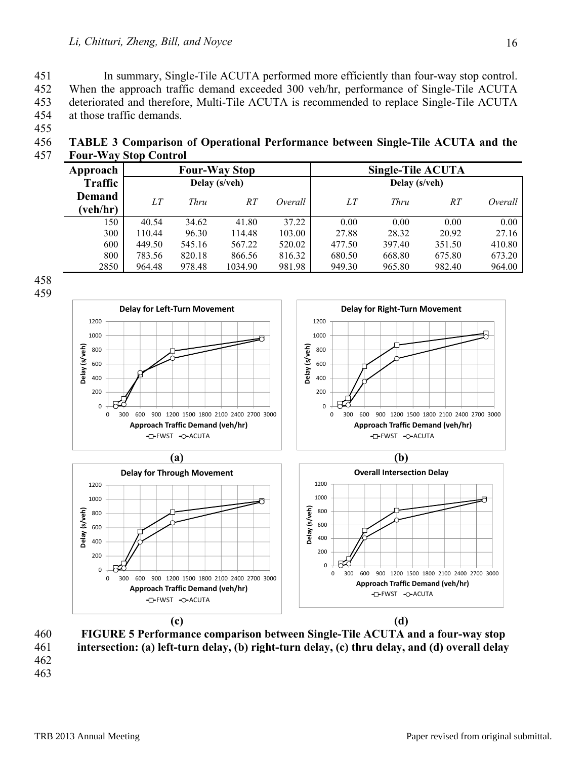451 In summary, Single-Tile ACUTA performed more efficiently than four-way stop control. 452 When the approach traffic demand exceeded 300 veh/hr, performance of Single-Tile ACUTA 453 deteriorated and therefore, Multi-Tile ACUTA is recommended to replace Single-Tile ACUTA 454 at those traffic demands.

455

456 **TABLE 3 Comparison of Operational Performance between Single-Tile ACUTA and the**  457 **Four-Way Stop Control** 

| Approach       |        |        | <b>Four-Way Stop</b> |         | <b>Single-Tile ACUTA</b> |        |        |         |  |  |  |
|----------------|--------|--------|----------------------|---------|--------------------------|--------|--------|---------|--|--|--|
| <b>Traffic</b> |        |        | Delay (s/veh)        |         | Delay (s/veh)            |        |        |         |  |  |  |
| <b>Demand</b>  | LT     | Thru   | RT                   | Overall | LΤ                       | Thru   | RT     | Overall |  |  |  |
| (veh/hr)       |        |        |                      |         |                          |        |        |         |  |  |  |
| 150            | 40.54  | 34.62  | 41.80                | 37.22   | 0.00                     | 0.00   | 0.00   | 0.00    |  |  |  |
| 300            | 110.44 | 96.30  | 114.48               | 103.00  | 27.88                    | 28.32  | 20.92  | 27.16   |  |  |  |
| 600            | 449.50 | 545.16 | 567.22               | 520.02  | 477.50                   | 397.40 | 351.50 | 410.80  |  |  |  |
| 800            | 783.56 | 820.18 | 866.56               | 816.32  | 680.50                   | 668.80 | 675.80 | 673.20  |  |  |  |
| 2850           | 964.48 | 978.48 | 1034.90              | 981.98  | 949.30                   | 965.80 | 982.40 | 964.00  |  |  |  |







460 **FIGURE 5 Performance comparison between Single-Tile ACUTA and a four-way stop**  461 **intersection: (a) left-turn delay, (b) right-turn delay, (c) thru delay, and (d) overall delay**  462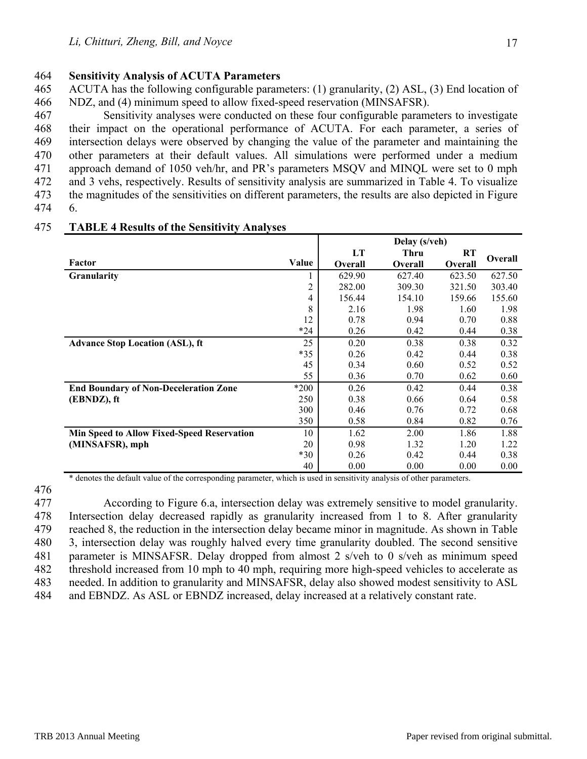### 464 **Sensitivity Analysis of ACUTA Parameters**

465 ACUTA has the following configurable parameters: (1) granularity, (2) ASL, (3) End location of 466 NDZ, and (4) minimum speed to allow fixed-speed reservation (MINSAFSR).

467 Sensitivity analyses were conducted on these four configurable parameters to investigate 468 their impact on the operational performance of ACUTA. For each parameter, a series of 469 intersection delays were observed by changing the value of the parameter and maintaining the 470 other parameters at their default values. All simulations were performed under a medium 471 approach demand of 1050 veh/hr, and PR's parameters MSQV and MINQL were set to 0 mph 472 and 3 vehs, respectively. Results of sensitivity analysis are summarized in Table 4. To visualize 473 the magnitudes of the sensitivities on different parameters, the results are also depicted in Figure 474 6.

|                                                   |                | Delay (s/veh)  |                |                |                |  |  |
|---------------------------------------------------|----------------|----------------|----------------|----------------|----------------|--|--|
|                                                   |                | LT             | Thru           | <b>RT</b>      | <b>Overall</b> |  |  |
| Factor                                            | Value          | <b>Overall</b> | <b>Overall</b> | <b>Overall</b> |                |  |  |
| Granularity                                       |                | 629.90         | 627.40         | 623.50         | 627.50         |  |  |
|                                                   | $\overline{2}$ | 282.00         | 309.30         | 321.50         | 303.40         |  |  |
|                                                   | 4              | 156.44         | 154.10         | 159.66         | 155.60         |  |  |
|                                                   | 8              | 2.16           | 1.98           | 1.60           | 1.98           |  |  |
|                                                   | 12             | 0.78           | 0.94           | 0.70           | 0.88           |  |  |
|                                                   | $*24$          | 0.26           | 0.42           | 0.44           | 0.38           |  |  |
| <b>Advance Stop Location (ASL), ft</b>            | 25             | 0.20           | 0.38           | 0.38           | 0.32           |  |  |
|                                                   | $*35$          | 0.26           | 0.42           | 0.44           | 0.38           |  |  |
|                                                   | 45             | 0.34           | 0.60           | 0.52           | 0.52           |  |  |
|                                                   | 55             | 0.36           | 0.70           | 0.62           | 0.60           |  |  |
| <b>End Boundary of Non-Deceleration Zone</b>      | *200           | 0.26           | 0.42           | 0.44           | 0.38           |  |  |
| (EBNDZ), ft                                       | 250            | 0.38           | 0.66           | 0.64           | 0.58           |  |  |
|                                                   | 300            | 0.46           | 0.76           | 0.72           | 0.68           |  |  |
|                                                   | 350            | 0.58           | 0.84           | 0.82           | 0.76           |  |  |
| <b>Min Speed to Allow Fixed-Speed Reservation</b> | 10             | 1.62           | 2.00           | 1.86           | 1.88           |  |  |
| (MINSAFSR), mph                                   | 20             | 0.98           | 1.32           | 1.20           | 1.22           |  |  |
|                                                   | $*30$          | 0.26           | 0.42           | 0.44           | 0.38           |  |  |
|                                                   | 40             | 0.00           | 0.00           | 0.00           | 0.00           |  |  |

#### 475 **TABLE 4 Results of the Sensitivity Analyses**

\* denotes the default value of the corresponding parameter, which is used in sensitivity analysis of other parameters.

477 According to Figure 6.a, intersection delay was extremely sensitive to model granularity. 478 Intersection delay decreased rapidly as granularity increased from 1 to 8. After granularity 479 reached 8, the reduction in the intersection delay became minor in magnitude. As shown in Table 480 3, intersection delay was roughly halved every time granularity doubled. The second sensitive 481 parameter is MINSAFSR. Delay dropped from almost 2 s/veh to 0 s/veh as minimum speed 482 threshold increased from 10 mph to 40 mph, requiring more high-speed vehicles to accelerate as 483 needed. In addition to granularity and MINSAFSR, delay also showed modest sensitivity to ASL 484 and EBNDZ. As ASL or EBNDZ increased, delay increased at a relatively constant rate.

<sup>476</sup>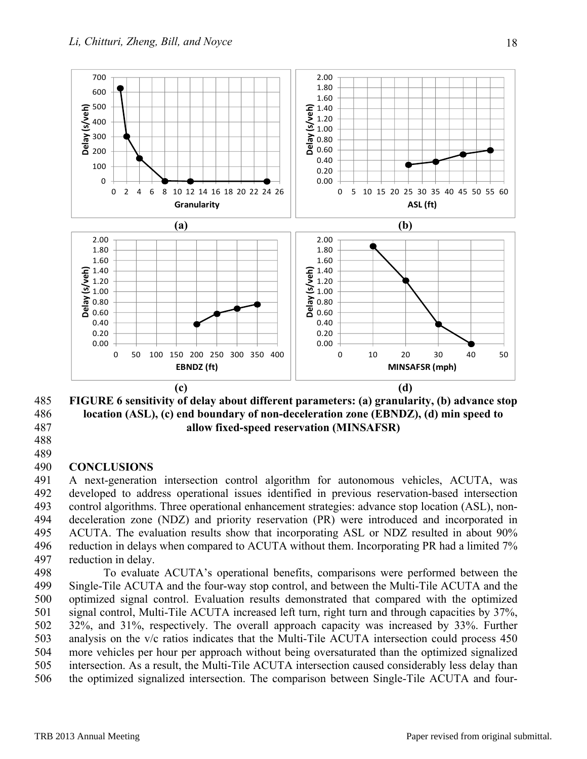

485 **FIGURE 6 sensitivity of delay about different parameters: (a) granularity, (b) advance stop**  486 **location (ASL), (c) end boundary of non-deceleration zone (EBNDZ), (d) min speed to**  487 **allow fixed-speed reservation (MINSAFSR)** 

488 489

## 490 **CONCLUSIONS**

491 A next-generation intersection control algorithm for autonomous vehicles, ACUTA, was 492 developed to address operational issues identified in previous reservation-based intersection 493 control algorithms. Three operational enhancement strategies: advance stop location (ASL), non-494 deceleration zone (NDZ) and priority reservation (PR) were introduced and incorporated in 495 ACUTA. The evaluation results show that incorporating ASL or NDZ resulted in about 90% 496 reduction in delays when compared to ACUTA without them. Incorporating PR had a limited 7% 497 reduction in delay.

498 To evaluate ACUTA's operational benefits, comparisons were performed between the 499 Single-Tile ACUTA and the four-way stop control, and between the Multi-Tile ACUTA and the 500 optimized signal control. Evaluation results demonstrated that compared with the optimized 501 signal control, Multi-Tile ACUTA increased left turn, right turn and through capacities by 37%, 502 32%, and 31%, respectively. The overall approach capacity was increased by 33%. Further 503 analysis on the v/c ratios indicates that the Multi-Tile ACUTA intersection could process 450 504 more vehicles per hour per approach without being oversaturated than the optimized signalized 505 intersection. As a result, the Multi-Tile ACUTA intersection caused considerably less delay than 506 the optimized signalized intersection. The comparison between Single-Tile ACUTA and four-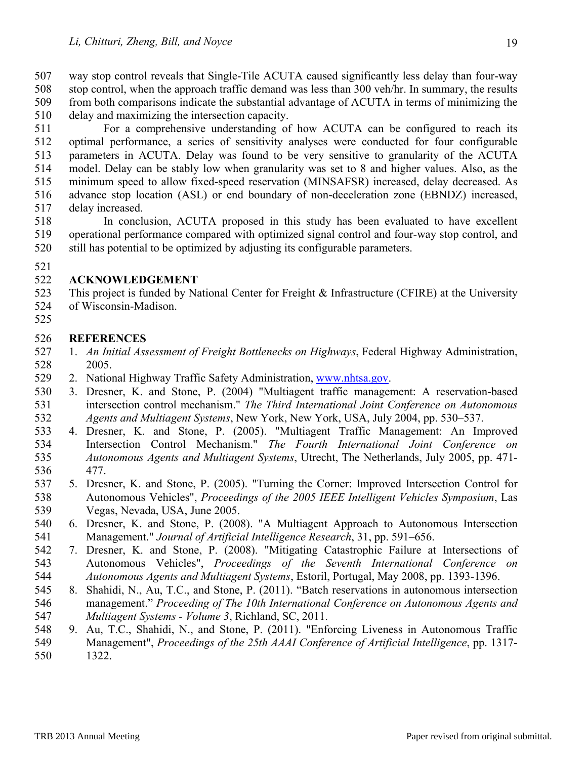507 way stop control reveals that Single-Tile ACUTA caused significantly less delay than four-way 508 stop control, when the approach traffic demand was less than 300 veh/hr. In summary, the results 509 from both comparisons indicate the substantial advantage of ACUTA in terms of minimizing the 510 delay and maximizing the intersection capacity.

511 For a comprehensive understanding of how ACUTA can be configured to reach its 512 optimal performance, a series of sensitivity analyses were conducted for four configurable 513 parameters in ACUTA. Delay was found to be very sensitive to granularity of the ACUTA 514 model. Delay can be stably low when granularity was set to 8 and higher values. Also, as the 515 minimum speed to allow fixed-speed reservation (MINSAFSR) increased, delay decreased. As 516 advance stop location (ASL) or end boundary of non-deceleration zone (EBNDZ) increased, 517 delay increased.

518 In conclusion, ACUTA proposed in this study has been evaluated to have excellent 519 operational performance compared with optimized signal control and four-way stop control, and 520 still has potential to be optimized by adjusting its configurable parameters.

521

# 522 **ACKNOWLEDGEMENT**

523 This project is funded by National Center for Freight & Infrastructure (CFIRE) at the University

- 524 of Wisconsin-Madison.
- 525

# 526 **REFERENCES**

- 527 1. *An Initial Assessment of Freight Bottlenecks on Highways*, Federal Highway Administration, 528 2005.
- 529 2. National Highway Traffic Safety Administration, www.nhtsa.gov.
- 530 3. Dresner, K. and Stone, P. (2004) "Multiagent traffic management: A reservation-based 531 intersection control mechanism." *The Third International Joint Conference on Autonomous*  532 *Agents and Multiagent Systems*, New York, New York, USA, July 2004, pp. 530–537.
- 533 4. Dresner, K. and Stone, P. (2005). "Multiagent Traffic Management: An Improved 534 Intersection Control Mechanism." *The Fourth International Joint Conference on*  535 *Autonomous Agents and Multiagent Systems*, Utrecht, The Netherlands, July 2005, pp. 471- 536 477.
- 537 5. Dresner, K. and Stone, P. (2005). "Turning the Corner: Improved Intersection Control for 538 Autonomous Vehicles", *Proceedings of the 2005 IEEE Intelligent Vehicles Symposium*, Las 539 Vegas, Nevada, USA, June 2005.
- 540 6. Dresner, K. and Stone, P. (2008). "A Multiagent Approach to Autonomous Intersection 541 Management." *Journal of Artificial Intelligence Research*, 31, pp. 591–656.
- 542 7. Dresner, K. and Stone, P. (2008). "Mitigating Catastrophic Failure at Intersections of 543 Autonomous Vehicles", *Proceedings of the Seventh International Conference on*  544 *Autonomous Agents and Multiagent Systems*, Estoril, Portugal, May 2008, pp. 1393-1396.
- 545 8. Shahidi, N., Au, T.C., and Stone, P. (2011). "Batch reservations in autonomous intersection 546 management." *Proceeding of The 10th International Conference on Autonomous Agents and*  547 *Multiagent Systems - Volume 3*, Richland, SC, 2011.
- 548 9. Au, T.C., Shahidi, N., and Stone, P. (2011). "Enforcing Liveness in Autonomous Traffic
- 549 Management", *Proceedings of the 25th AAAI Conference of Artificial Intelligence*, pp. 1317- 550 1322.